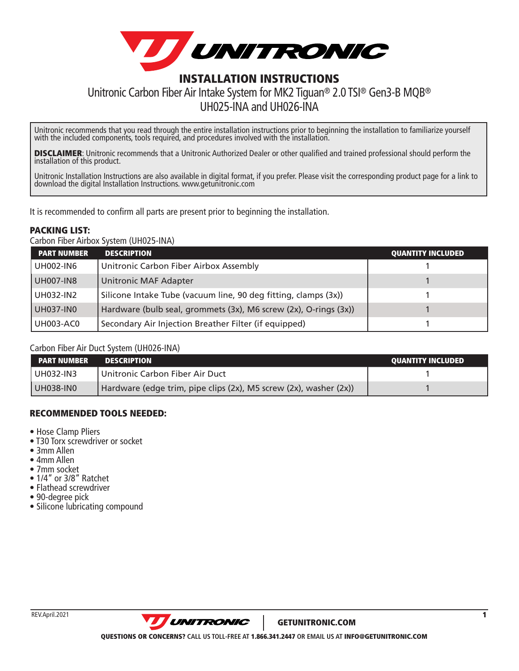

# Unitronic Carbon Fiber Air Intake System for MK2 Tiguan® 2.0 TSI® Gen3-B MQB®

UH025-INA and UH026-INA

Unitronic recommends that you read through the entire installation instructions prior to beginning the installation to familiarize yourself with the included components, tools required, and procedures involved with the installation.

**DISCLAIMER**: Unitronic recommends that a Unitronic Authorized Dealer or other qualified and trained professional should perform the<br>installation of this product.

Unitronic Installation Instructions are also available in digital format, if you prefer. Please visit the corresponding product page for a link to download the digital Installation Instructions. [www.getunitronic.com](http://www.getunitronic.com)

It is recommended to confirm all parts are present prior to beginning the installation.

#### PACKING LIST:

Carbon Fiber Airbox System (UH025-INA)

| <b>PART NUMBER</b> | <b>DESCRIPTION</b>                                               | <b>QUANTITY INCLUDED</b> |
|--------------------|------------------------------------------------------------------|--------------------------|
| <b>UH002-IN6</b>   | Unitronic Carbon Fiber Airbox Assembly                           |                          |
| UH007-IN8          | Unitronic MAF Adapter                                            |                          |
| UH032-IN2          | Silicone Intake Tube (vacuum line, 90 deg fitting, clamps (3x))  |                          |
| UH037-IN0          | Hardware (bulb seal, grommets (3x), M6 screw (2x), O-rings (3x)) |                          |
| <b>UH003-AC0</b>   | Secondary Air Injection Breather Filter (if equipped)            |                          |

#### Carbon Fiber Air Duct System (UH026-INA)

| <b>NPART NUMBER</b> | <b>DESCRIPTION</b>                                                | <b>QUANTITY INCLUDED</b> |
|---------------------|-------------------------------------------------------------------|--------------------------|
| UH032-IN3           | Unitronic Carbon Fiber Air Duct                                   |                          |
| UH038-IN0           | Hardware (edge trim, pipe clips (2x), M5 screw (2x), washer (2x)) |                          |

#### RECOMMENDED TOOLS NEEDED:

- Hose Clamp Pliers
- T30 Torx screwdriver or socket
- 3mm Allen
- 4mm Allen
- 7mm socket
- 1/4" or 3/8" Ratchet
- Flathead screwdriver
- 90-degree pick
- Silicone lubricating compound

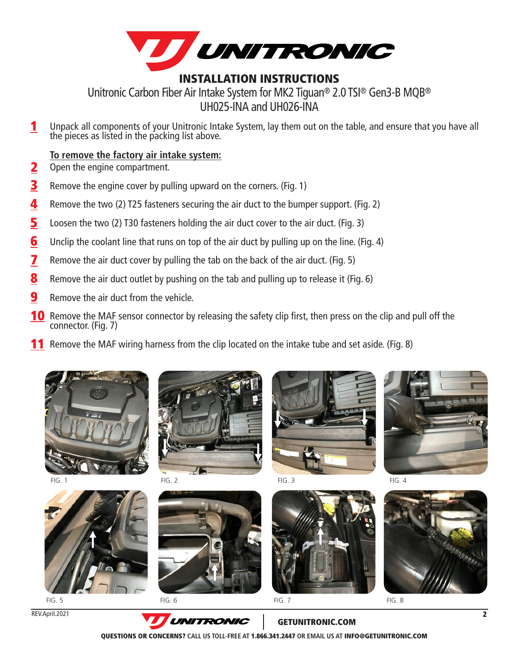

Unitronic Carbon Fiber Air Intake System for MK2 Tiguan® 2.0 TSI® Gen3-B MQB® UH025-INA and UH026-INA

Unpack all components of your Unitronic Intake System, lay them out on the table, and ensure that you have all the pieces as listed in the packing list above. 1

#### **To remove the factory air intake system:**

- Open the engine compartment. 2
- Remove the engine cover by pulling upward on the corners. (Fig. 1) 3
- Remove the two (2) T25 fasteners securing the air duct to the bumper support. (Fig. 2) 4
- Loosen the two (2) T30 fasteners holding the air duct cover to the air duct. (Fig. 3) 5
- Unclip the coolant line that runs on top of the air duct by pulling up on the line. (Fig. 4) 6
- Remove the air duct cover by pulling the tab on the back of the air duct. (Fig. 5) 7
- Remove the air duct outlet by pushing on the tab and pulling up to release it (Fig. 6) 8
- Remove the air duct from the vehicle. 9
- **10** Remove the MAF sensor connector by releasing the safety clip first, then press on the clip and pull off the connector. (Fig. 7)
- 11 Remove the MAF wiring harness from the clip located on the intake tube and set aside. (Fig. 8)

















 $FIG. 5$  FIG. 6 FIG. 7 FIG. 7 FIG. 8

REV.April.2021



GETUNITRONIC.COM

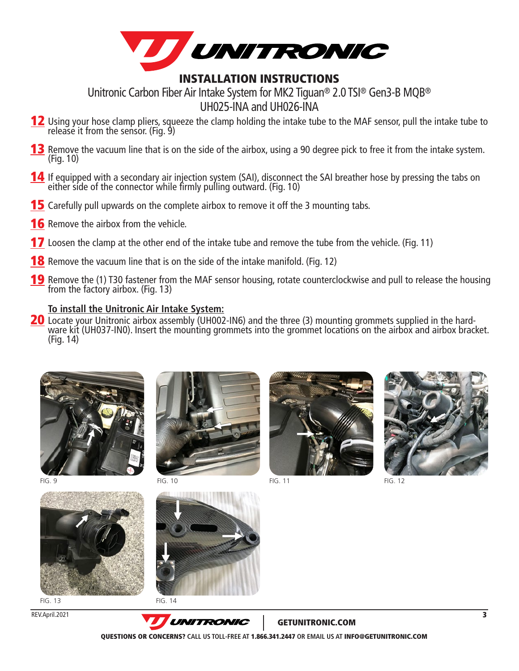

Unitronic Carbon Fiber Air Intake System for MK2 Tiguan® 2.0 TSI® Gen3-B MQB® UH025-INA and UH026-INA

- Using your hose clamp pliers, squeeze the clamp holding the intake tube to the MAF sensor, pull the intake tube to release it from the sensor. (Fig. 9) <u>12</u>
- 13 Remove the vacuum line that is on the side of the airbox, using a 90 degree pick to free it from the intake system. (Fig. 10)
- 14 If equipped with a secondary air injection system (SAI), disconnect the SAI breather hose by pressing the tabs on either side of the connector while firmly pulling outward. (Fig. 10)
- **15** Carefully pull upwards on the complete airbox to remove it off the 3 mounting tabs.
- **16** Remove the airbox from the vehicle.
- **17** Loosen the clamp at the other end of the intake tube and remove the tube from the vehicle. (Fig. 11)
- 18 Remove the vacuum line that is on the side of the intake manifold. (Fig. 12)
- 19 Remove the (1) T30 fastener from the MAF sensor housing, rotate counterclockwise and pull to release the housing from the factory airbox. (Fig. 13)

### **To install the Unitronic Air Intake System:**

ware kit (UH037-IN0). Insert the mounting grommets into the grommet locations on the airbox and airbox bracket. (Fig. 14) **20** Locate your Unitronic airbox assembly (UH002-IN6) and the three (3) mounting grommets supplied in the hard-





FIG. 13 FIG. 14





FIG. 9 FIG. 10





FIG. 12



GETUNITRONIC.COM

QUESTIONS OR CONCERNS? **CALL US TOLL-FREE AT** 1.866.341.2447 **OR EMAIL US AT** INFO@GETUNITRONIC.COM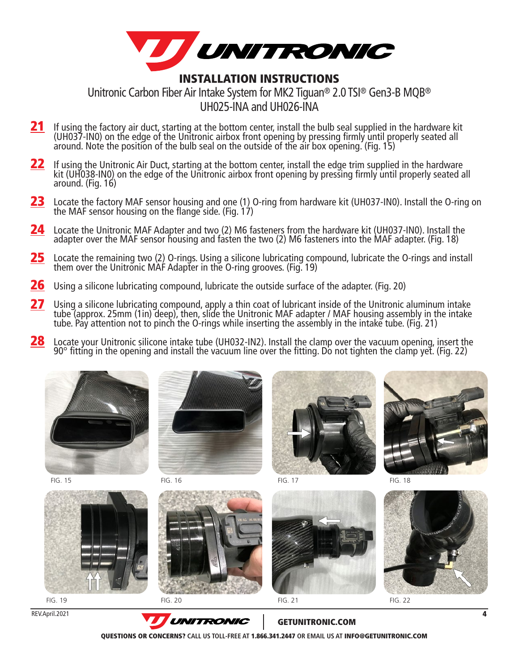

Unitronic Carbon Fiber Air Intake System for MK2 Tiguan® 2.0 TSI® Gen3-B MQB® UH025-INA and UH026-INA

- 21 If using the factory air duct, starting at the bottom center, install the bulb seal supplied in the hardware kit (UH037-IN0) on the edge of the Unitronic airbox front opening by pressing firmly until properly seated all around. Note the position of the bulb seal on the outside of the air box opening. (Fig. 15)
- 22 If using the Unitronic Air Duct, starting at the bottom center, install the edge trim supplied in the hardware kit (UH038-IN0) on the edge of the Unitronic airbox front opening by pressing firmly until properly seated all around. (Fig. 16)
- 23 Locate the factory MAF sensor housing and one (1) O-ring from hardware kit (UH037-IN0). Install the O-ring on the MAF sensor housing on the flange side. (Fig.  $17$ )
- 24 Locate the Unitronic MAF Adapter and two (2) M6 fasteners from the hardware kit (UH037-IN0). Install the adapter over the MAF sensor housing and fasten the two (2) M6 fasteners into the MAF adapter. (Fig. 18)
- 25 Locate the remaining two (2) O-rings. Using a silicone lubricating compound, lubricate the O-rings and install them over the Unitronic MAF Adapter in the O-ring grooves. (Fig. 19)
- 26 Using a silicone lubricating compound, lubricate the outside surface of the adapter. (Fig. 20)
- 27 Using a silicone lubricating compound, apply a thin coat of lubricant inside of the Unitronic aluminum intake tube (approx. 25mm (1in) deep), then, slide the Unitronic MAF adapter / MAF housing assembly in the intake tube. Pay attention not to pinch the O-rings while inserting the assembly in the intake tube. (Fig. 21)
- 28 Locate your Unitronic silicone intake tube (UH032-IN2). Install the clamp over the vacuum opening, insert the 90° fitting in the opening and install the vacuum line over the fitting. Do not tighten the clamp yet. (Fig. 22)







REV.April.2021







FIG. 15 FIG. 16 FIG. 17 FIG. 18



**UNITRONIC** GETUNITRONIC.COM

QUESTIONS OR CONCERNS? **CALL US TOLL-FREE AT** 1.866.341.2447 **OR EMAIL US AT** INFO@GETUNITRONIC.COM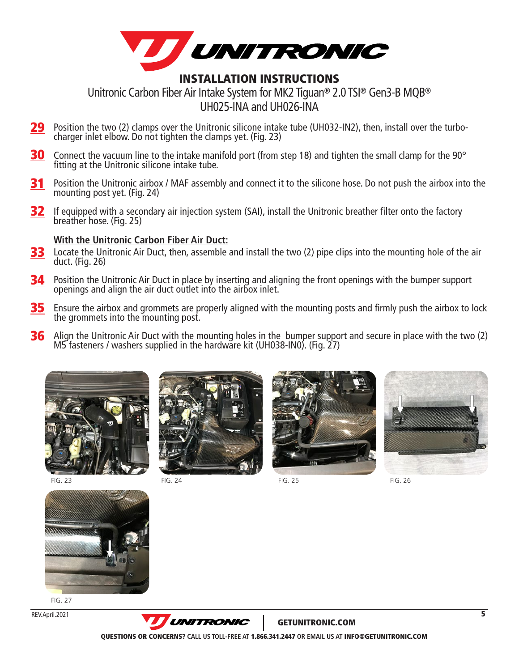

Unitronic Carbon Fiber Air Intake System for MK2 Tiguan® 2.0 TSI® Gen3-B MQB® UH025-INA and UH026-INA

- 29 Position the two (2) clamps over the Unitronic silicone intake tube (UH032-IN2), then, install over the turbo- charger inlet elbow. Do not tighten the clamps yet. (Fig. 23)
- 30 Connect the vacuum line to the intake manifold port (from step 18) and tighten the small clamp for the 90° fitting at the Unitronic silicone intake tube.
- 31 Position the Unitronic airbox / MAF assembly and connect it to the silicone hose. Do not push the airbox into the mounting post yet. (Fig. 24)
- 32 If equipped with a secondary air injection system (SAI), install the Unitronic breather filter onto the factory breather hose. (Fig. 25)

#### **With the Unitronic Carbon Fiber Air Duct:**

- 33 Locate the Unitronic Air Duct, then, assemble and install the two (2) pipe clips into the mounting hole of the air duct. (Fig. 26)
- 34 Position the Unitronic Air Duct in place by inserting and aligning the front openings with the bumper support openings and align the air duct outlet into the airbox inlet.
- 35 Ensure the airbox and grommets are properly aligned with the mounting posts and firmly push the airbox to lock the grommets into the mounting post.
- 36 Align the Unitronic Air Duct with the mounting holes in the bumper support and secure in place with the two (2) M5 fasteners / washers supplied in the hardware kit (UH038-IN0). (Fig. 27)





FIG. 23 FIG. 24 FIG. 25 FIG. 26







FIG. 27





GETUNITRONIC.COM